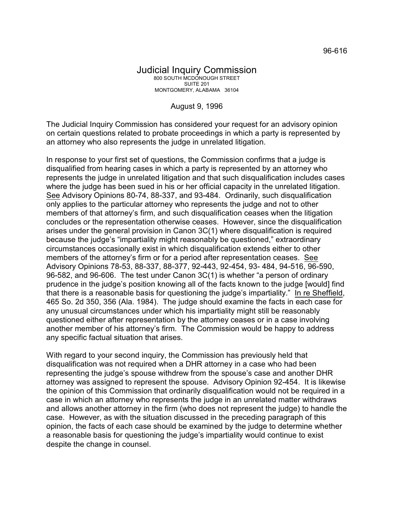August 9, 1996

The Judicial Inquiry Commission has considered your request for an advisory opinion on certain questions related to probate proceedings in which a party is represented by an attorney who also represents the judge in unrelated litigation.

In response to your first set of questions, the Commission confirms that a judge is disqualified from hearing cases in which a party is represented by an attorney who represents the judge in unrelated litigation and that such disqualification includes cases where the judge has been sued in his or her official capacity in the unrelated litigation. See Advisory Opinions 80-74, 88-337, and 93-484. Ordinarily, such disqualification only applies to the particular attorney who represents the judge and not to other members of that attorney's firm, and such disqualification ceases when the litigation concludes or the representation otherwise ceases. However, since the disqualification arises under the general provision in Canon 3C(1) where disqualification is required because the judge's "impartiality might reasonably be questioned," extraordinary circumstances occasionally exist in which disqualification extends either to other members of the attorney's firm or for a period after representation ceases. See Advisory Opinions 78-53, 88-337, 88-377, 92-443, 92-454, 93- 484, 94-516, 96-590, 96-582, and 96-606. The test under Canon 3C(1) is whether "a person of ordinary prudence in the judge's position knowing all of the facts known to the judge [would] find that there is a reasonable basis for questioning the judge's impartiality." In re Sheffield, 465 So. 2d 350, 356 (Ala. 1984). The judge should examine the facts in each case for any unusual circumstances under which his impartiality might still be reasonably questioned either after representation by the attorney ceases or in a case involving another member of his attorney's firm. The Commission would be happy to address any specific factual situation that arises.

With regard to your second inquiry, the Commission has previously held that disqualification was not required when a DHR attorney in a case who had been representing the judge's spouse withdrew from the spouse's case and another DHR attorney was assigned to represent the spouse. Advisory Opinion 92-454. It is likewise the opinion of this Commission that ordinarily disqualification would not be required in a case in which an attorney who represents the judge in an unrelated matter withdraws and allows another attorney in the firm (who does not represent the judge) to handle the case. However, as with the situation discussed in the preceding paragraph of this opinion, the facts of each case should be examined by the judge to determine whether a reasonable basis for questioning the judge's impartiality would continue to exist despite the change in counsel.